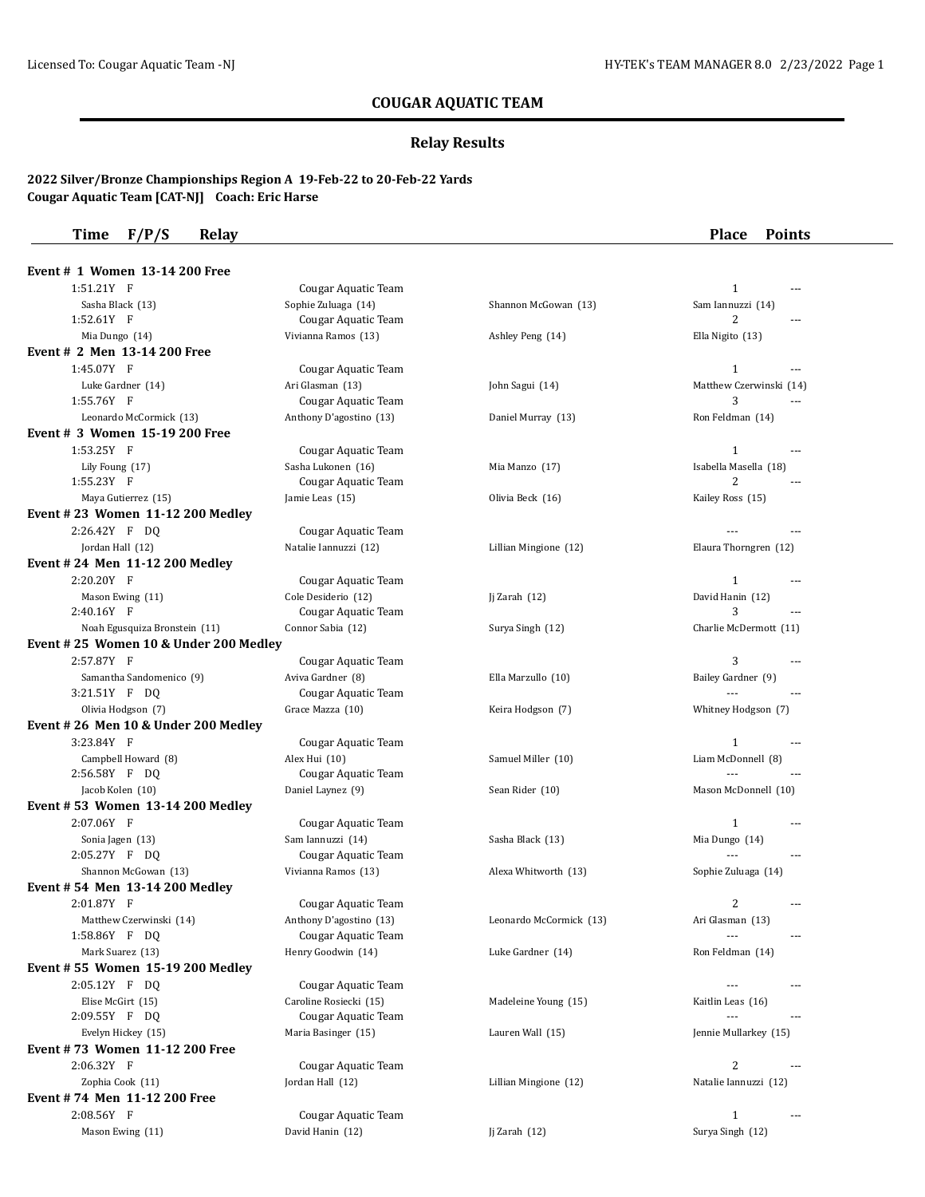## **COUGAR AQUATIC TEAM**

# **Relay Results**

### **2022 Silver/Bronze Championships Region A 19-Feb-22 to 20-Feb-22 Yards Cougar Aquatic Team [CAT-NJ] Coach: Eric Harse**

| F/P/S<br><b>Relay</b><br>Time                             |                                      |                         | <b>Place</b><br><b>Points</b>  |
|-----------------------------------------------------------|--------------------------------------|-------------------------|--------------------------------|
| Event # 1 Women 13-14 200 Free                            |                                      |                         |                                |
| $1:51.21Y$ F                                              | Cougar Aquatic Team                  |                         | $\mathbf{1}$<br>$\sim$ $\sim$  |
| Sasha Black (13)                                          | Sophie Zuluaga (14)                  | Shannon McGowan (13)    | Sam Iannuzzi (14)              |
| 1:52.61Y F                                                | Cougar Aquatic Team                  |                         | 2<br>$- - -$                   |
| Mia Dungo (14)                                            | Vivianna Ramos (13)                  | Ashley Peng (14)        | Ella Nigito (13)               |
| Event # 2 Men 13-14 200 Free                              |                                      |                         |                                |
| 1:45.07Y F                                                | Cougar Aquatic Team                  |                         | $\mathbf{1}$<br>$- - -$        |
| Luke Gardner (14)                                         | Ari Glasman (13)                     | John Sagui (14)         | Matthew Czerwinski (14)        |
| 1:55.76Y F                                                | Cougar Aquatic Team                  |                         | 3<br>$-$ --                    |
| Leonardo McCormick (13)                                   | Anthony D'agostino (13)              | Daniel Murray (13)      | Ron Feldman (14)               |
| Event # 3 Women 15-19 200 Free                            |                                      |                         |                                |
| 1:53.25Y F                                                | Cougar Aquatic Team                  |                         | $\mathbf{1}$<br>$\sim$ $\sim$  |
| Lily Foung (17)                                           | Sasha Lukonen (16)                   | Mia Manzo (17)          | Isabella Masella (18)          |
| 1:55.23Y F                                                | Cougar Aquatic Team                  |                         | 2                              |
| Maya Gutierrez (15)                                       | Jamie Leas (15)                      | Olivia Beck (16)        | Kailey Ross (15)               |
| Event #23 Women 11-12 200 Medlev                          |                                      |                         |                                |
| 2:26.42Y F DO                                             | Cougar Aquatic Team                  |                         |                                |
| Jordan Hall (12)                                          | Natalie Iannuzzi (12)                | Lillian Mingione (12)   | Elaura Thorngren (12)          |
| Event #24 Men 11-12 200 Medley                            |                                      |                         |                                |
| 2:20.20Y F                                                | Cougar Aquatic Team                  |                         | $\mathbf{1}$                   |
| Mason Ewing (11)                                          | Cole Desiderio (12)                  | Ji Zarah $(12)$         | David Hanin (12)               |
| 2:40.16Y F                                                | Cougar Aquatic Team                  |                         | 3<br>$-$                       |
| Noah Egusquiza Bronstein (11)                             | Connor Sabia (12)                    | Surya Singh (12)        | Charlie McDermott (11)         |
| Event #25 Women 10 & Under 200 Medley                     |                                      |                         |                                |
| 2:57.87Y F                                                | Cougar Aquatic Team                  |                         | 3<br>$\sim$ $\sim$             |
| Samantha Sandomenico (9)                                  | Aviva Gardner (8)                    | Ella Marzullo (10)      | Bailey Gardner (9)             |
| 3:21.51Y F DQ                                             | Cougar Aquatic Team                  |                         | $ -$                           |
| Olivia Hodgson (7)<br>Event #26 Men 10 & Under 200 Medley | Grace Mazza (10)                     | Keira Hodgson (7)       | Whitney Hodgson (7)            |
| 3:23.84Y F                                                |                                      |                         | $\mathbf{1}$                   |
|                                                           | Cougar Aquatic Team                  |                         | $\sim$ $\sim$                  |
| Campbell Howard (8)<br>2:56.58Y F DQ                      | Alex Hui (10)<br>Cougar Aquatic Team | Samuel Miller (10)      | Liam McDonnell (8)<br>$ -$     |
| Jacob Kolen (10)                                          | Daniel Laynez (9)                    | Sean Rider (10)         | Mason McDonnell (10)           |
| Event #53 Women 13-14 200 Medley                          |                                      |                         |                                |
| 2:07.06Y F                                                | Cougar Aquatic Team                  |                         | $\mathbf{1}$<br>---            |
| Sonia Jagen (13)                                          | Sam Iannuzzi (14)                    | Sasha Black (13)        | Mia Dungo (14)                 |
| 2:05.27Y F DQ                                             | Cougar Aquatic Team                  |                         |                                |
| Shannon McGowan (13)                                      | Vivianna Ramos (13)                  | Alexa Whitworth (13)    | Sophie Zuluaga (14)            |
| Event # 54 Men 13-14 200 Medley                           |                                      |                         |                                |
| 2:01.87Y F                                                | Cougar Aquatic Team                  |                         | 2<br>---                       |
| Matthew Czerwinski (14)                                   | Anthony D'agostino (13)              | Leonardo McCormick (13) | Ari Glasman (13)               |
| 1:58.86Y F DQ                                             | Cougar Aquatic Team                  |                         |                                |
| Mark Suarez (13)                                          | Henry Goodwin (14)                   | Luke Gardner (14)       | Ron Feldman (14)               |
| Event #55 Women 15-19 200 Medley                          |                                      |                         |                                |
| 2:05.12Y F DQ                                             | Cougar Aquatic Team                  |                         |                                |
| Elise McGirt (15)                                         | Caroline Rosiecki (15)               | Madeleine Young (15)    | Kaitlin Leas (16)              |
| 2:09.55Y F DQ                                             | Cougar Aquatic Team                  |                         | ---                            |
| Evelyn Hickey (15)                                        | Maria Basinger (15)                  | Lauren Wall (15)        | Jennie Mullarkey (15)          |
| Event #73 Women 11-12 200 Free                            |                                      |                         |                                |
| 2:06.32Y F                                                | Cougar Aquatic Team                  |                         | 2<br>$\cdots$                  |
| Zophia Cook (11)                                          | Jordan Hall (12)                     | Lillian Mingione (12)   | Natalie Iannuzzi (12)          |
| Event #74 Men 11-12 200 Free                              |                                      |                         |                                |
| 2:08.56Y F                                                | Cougar Aquatic Team                  |                         | $\mathbf{1}$<br>$\overline{a}$ |
|                                                           |                                      |                         | Surya Singh (12)               |